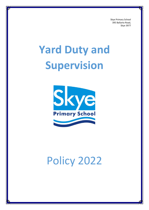Skye Primary School 395 Ballarto Road, Skye 3977

# **Yard Duty and Supervision**



# Policy 2022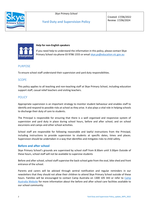*Skye Primary School*



Created: 17/06/2022 Review: 17/06/2024



#### **Help for non-English speakers**

If you need help to understand the information in this policy, please contact Skye Primary School via phone 03 9786 1555 or email [skye.ps@education.vic.gov.au](mailto:skye.ps@education.vic.gov.au)

# **PURPOSE**

To ensure school staff understand their supervision and yard duty responsibilities.

# **SCOPE**

This policy applies to all teaching and non-teaching staff at Skye Primary School, including education support staff, casual relief teachers and visiting teachers.

# **POLICY**

Appropriate supervision is an important strategy to monitor student behaviour and enables staff to identify and respond to possible risks at school as they arise. It also plays a vital role in helping schools to discharge their duty of care to students.

The Principal is responsible for ensuring that there is a well organised and responsive system of supervision and yard duty in place during school hours, before and after school, and on school excursions and camps and other school activities.

School staff are responsible for following reasonable and lawful instructions from the Principal, including instructions to provide supervision to students at specific dates, times and places. Supervision should be undertaken in a way that identifies and mitigates risks to child safety.

# **Before and after school**

Skye Primary School's grounds are supervised by school staff from 8:30am until 3:30pm Outside of these hours, school staff will not be available to supervise students

Before and after school, school staff supervise the back-school gate from the oval, bike shed and front entrance of the school.

Parents and carers will be advised through sentral notification and regular reminders in our newsletters that they should not allow their children to attend Skye Primary School outside of these hours. Families will be encouraged to contact [Camp](http://www.campaustralia.com.au/) Australia on 1300 105 343 or refer to Camp [Australia Website](http://www.campaustralia.com.au/) for more information about the before and after school care facilities available to our school community.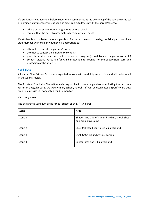If a student arrives at school before supervision commences at the beginning of the day, the Principal or nominee staff member will, as soon as practicable, follow up with the parent/carer to:

- advise of the supervision arrangements before school
- request that the parent/carer make alternate arrangements.

If a student is not collected before supervision finishes at the end of the day, the Principal or nominee staff member will consider whether it is appropriate to:

- attempt to contact the parents/carers
- attempt to contact the emergency contacts
- place the student in an out of school hours care program (if available and the parent consents)
- contact Victoria Police and/or Child Protection to arrange for the supervision, care and protection of the student.

# **Yard duty**

All staff at Skye Primary School are expected to assist with yard duty supervision and will be included in the weekly roster.

The Assistant Principal – Cherie Bradley is responsible for preparing and communicating the yard duty roster on a regular basis. At Skye Primary School, school staff will be designated a specific yard duty area to supervise OR nominated child to monitor.

#### **Yard duty zones**

The designated yard duty areas for our school as at  $17<sup>th</sup>$  June are:

| Zone   | Area                                                                   |
|--------|------------------------------------------------------------------------|
| Zone 1 | Shade Sails, side of admin building, chook shed<br>and prep playground |
| Zone 2 | Blue Basketball court prep-2 playground                                |
| Zone 3 | Oval, GaGa pit, indigenous garden                                      |
| Zone 4 | Soccer Pitch and 3-6 playground                                        |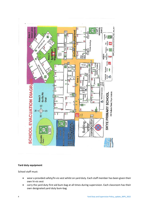

#### **Yard duty equipment**

School staff must:

- wear a provided safety/hi-vis vest whilst on yard duty. Each staff member has been given their own hi-vis vest
- carry the yard duty first aid bum-bag at all times during supervision. Each classroom has their own designated yard duty bum-bag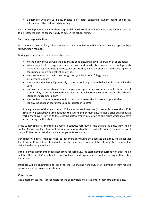• Be familiar with the yard duty medical alert cards containing student health and safety information attached to each bum-bag.

Yard duty equipment is each teachers responsibility to look after and maintain, if equipment requires to be restocked it is the teachers duty to advise the school nurse.

#### **Yard duty responsibilities**

Staff who are rostered for yard duty must remain in the designated area until they are replaced by a relieving staff member.

During yard duty, supervising school staff must:

- methodically move around the designated zone ensuring active supervision of all students
- where safe to do so, approach any unknown visitor who is observed on school grounds without a clear legitimate purpose, and ensure they have a visitor pass and have signed in (excluding drop off and collection periods)
- ensure students remain in their designated year level zones/playgrounds
- be alert and vigilant
- intervene immediately if potentially dangerous or inappropriate behaviour is observed in the yard
- enforce behavioural standards and implement appropriate consequences for breaches of safety rules, in accordance with any relevant disciplinary measures set out in the school's Student Engagement policy
- ensure that students who require first aid assistance receive it as soon as practicable
- log any incidents or near misses as appropriate in Sentral.

If being relieved of their yard duty shift by another staff member (for example, where the shift is 'split' into 2 consecutive time periods), the staff member must ensure that a brief but adequate verbal 'handover' is given to the relieving staff member in relation to any issues which may have arisen during the first shift.

If the supervising staff member is unable to conduct yard duty at the designated time, they should contact Cherie Bradley – Assistant Principal with as much notice as possible prior to the relevant yard duty shift to ensure that alternative arrangements are made.

If the supervising staff member needs to leave yard duty during the allocated time, they should contact the Assistant Principal but should not leave the designated area until the relieving staff member has arrived in the designated area.

If the relieving staff member does not arrive for yard duty, the staff member currently on duty should call the office or call Cherie Bradley, and not leave the designated area until a relieving staff member has arrived.

Students will be encouraged to speak to the supervising yard duty staff member if they require assistance during recess or lunchtime.

# **Classroom**

The classroom teacher is responsible for the supervision of all students in their care during class.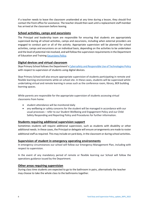If a teacher needs to leave the classroom unattended at any time during a lesson, they should first contact the front office for assistance. The teacher should then wait until a replacement staff member has arrived at the classroom before leaving.

# **School activities, camps and excursions**

The Principal and leadership team are responsible for ensuring that students are appropriately supervised during all school activities, camps and excursions, including when external providers are engaged to conduct part or all of the activity. Appropriate supervision will be planned for school activities, camps and excursions on an individual basis, depending on the activities to be undertaken and the level of potential risk involved, and will follow the supervision requirements in the Department of Education and Training [Excursions Policy.](https://www2.education.vic.gov.au/pal/excursions/policy)

# **Digital devices and virtual classroom**

Skye Primary School follows the Department's [Cybersafety and Responsible Use of Technologies Policy](https://www2.education.vic.gov.au/pal/cybersafety/policy) with respect to supervision of students using digital devices.

Skye Primary School will also ensure appropriate supervision of students participating in remote and flexible learning environments while on school site. In these cases, students will be supervised whilst undertaking virtual and remote learning in areas such as the conference room, library, BER building learning spaces.

While parents are responsible for the appropriate supervision of students accessing virtual classrooms from home:

- student attendance will be monitored daily
- any wellbeing or safety concerns for the student will be managed in accordance with our usual processes – refer to our Student Wellbeing and Engagement Policy and our Child Safety Responding and Reporting Policy and Procedures for further information.

# **Students requiring additional supervision support**

Sometimes students will require additional supervision, such as students with disability or other additional needs. In these cases, the Principal or delegate will ensure arrangements are made to roster additional staff as required. This may include on yard duty, in the classroom or during school activities.

# **Supervision of student in emergency operating environments**

In emergency circumstances our school will follow our Emergency Management Plan, including with respect to supervision.

In the event of any mandatory period of remote or flexible learning our School will follow the operations guidance issued by the Department.

# **Other areas requiring supervision**

During class time students are expected to go to the bathroom in pairs, alternatively the teacher may choose to take the whole class to the bathrooms together.